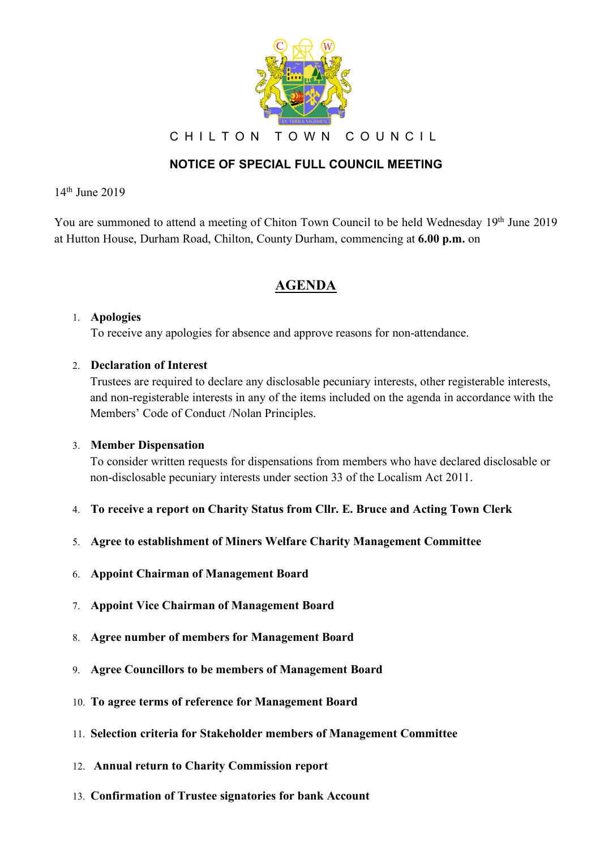

CHILTON TOWN COUNCIL

## **NOTICE OF SPECIAL FULL COUNCIL MEETING**

14th June 2019

You are summoned to attend a meeting of Chiton Town Council to be held Wednesday 19th June 2019 at Hutton House, Durham Road, Chilton, County Durham, commencing at **6.00 p.m.** on

# **AGENDA**

### 1. **Apologies**

To receive any apologies for absence and approve reasons for non-attendance.

### 2. **Declaration of Interest**

Trustees are required to declare any disclosable pecuniary interests, other registerable interests, and non-registerable interests in any of the items included on the agenda in accordance with the Members' Code of Conduct /Nolan Principles.

#### 3. **Member Dispensation**

To consider written requests for dispensations from members who have declared disclosable or non-disclosable pecuniary interests under section 33 of the Localism Act 2011.

- 4. **To receive a report on Charity Status from Cllr. E. Bruce and Acting Town Clerk**
- 5. **Agree to establishment of Miners Welfare Charity Management Committee**
- 6. **Appoint Chairman of Management Board**
- 7. **Appoint Vice Chairman of Management Board**
- 8. **Agree number of members for Management Board**
- 9. **Agree Councillors to be members of Management Board**
- 10. **To agree terms of reference for Management Board**
- 11. **Selection criteria for Stakeholder members of Management Committee**
- 12. **Annual return to Charity Commission report**
- 13. **Confirmation of Trustee signatories for bank Account**